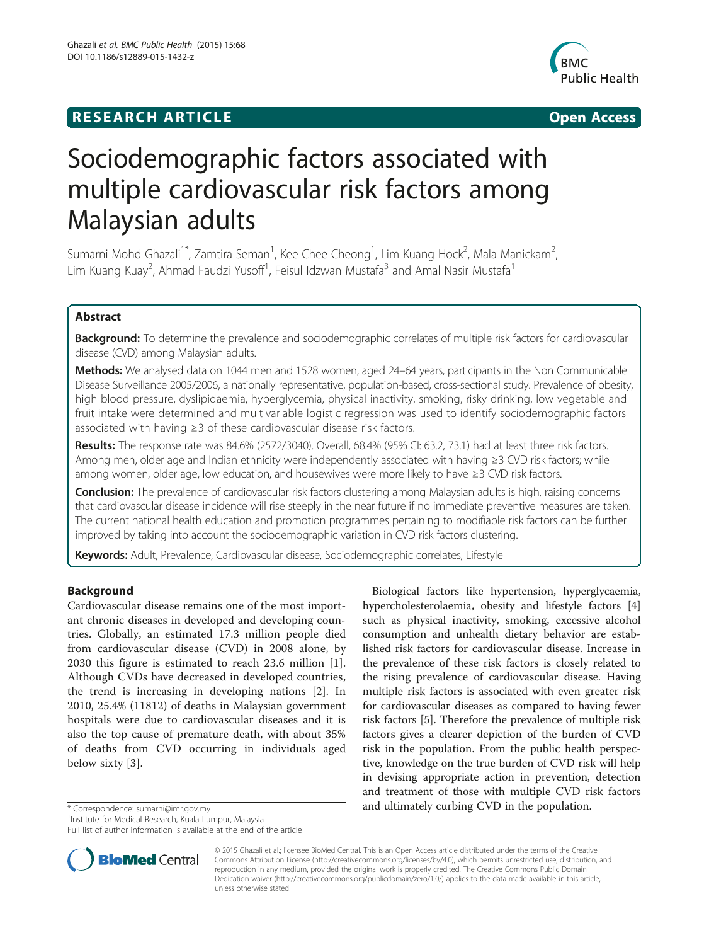# **RESEARCH ARTICLE Example 2014 CONSIDERING A RESEARCH ARTICLE**



# Sociodemographic factors associated with multiple cardiovascular risk factors among Malaysian adults

Sumarni Mohd Ghazali<sup>1\*</sup>, Zamtira Seman<sup>1</sup>, Kee Chee Cheong<sup>1</sup>, Lim Kuang Hock<sup>2</sup>, Mala Manickam<sup>2</sup> , Lim Kuang Kuay<sup>2</sup>, Ahmad Faudzi Yusoff<sup>1</sup>, Feisul Idzwan Mustafa<sup>3</sup> and Amal Nasir Mustafa<sup>1</sup>

# Abstract

Background: To determine the prevalence and sociodemographic correlates of multiple risk factors for cardiovascular disease (CVD) among Malaysian adults.

Methods: We analysed data on 1044 men and 1528 women, aged 24–64 years, participants in the Non Communicable Disease Surveillance 2005/2006, a nationally representative, population-based, cross-sectional study. Prevalence of obesity, high blood pressure, dyslipidaemia, hyperglycemia, physical inactivity, smoking, risky drinking, low vegetable and fruit intake were determined and multivariable logistic regression was used to identify sociodemographic factors associated with having ≥3 of these cardiovascular disease risk factors.

Results: The response rate was 84.6% (2572/3040). Overall, 68.4% (95% CI: 63.2, 73.1) had at least three risk factors. Among men, older age and Indian ethnicity were independently associated with having ≥3 CVD risk factors; while among women, older age, low education, and housewives were more likely to have ≥3 CVD risk factors.

Conclusion: The prevalence of cardiovascular risk factors clustering among Malaysian adults is high, raising concerns that cardiovascular disease incidence will rise steeply in the near future if no immediate preventive measures are taken. The current national health education and promotion programmes pertaining to modifiable risk factors can be further improved by taking into account the sociodemographic variation in CVD risk factors clustering.

Keywords: Adult, Prevalence, Cardiovascular disease, Sociodemographic correlates, Lifestyle

# Background

Cardiovascular disease remains one of the most important chronic diseases in developed and developing countries. Globally, an estimated 17.3 million people died from cardiovascular disease (CVD) in 2008 alone, by 2030 this figure is estimated to reach 23.6 million [\[1](#page-6-0)]. Although CVDs have decreased in developed countries, the trend is increasing in developing nations [[2\]](#page-6-0). In 2010, 25.4% (11812) of deaths in Malaysian government hospitals were due to cardiovascular diseases and it is also the top cause of premature death, with about 35% of deaths from CVD occurring in individuals aged below sixty [\[3](#page-6-0)].

<sup>1</sup> Institute for Medical Research, Kuala Lumpur, Malaysia

Full list of author information is available at the end of the article





© 2015 Ghazali et al.; licensee BioMed Central. This is an Open Access article distributed under the terms of the Creative Commons Attribution License [\(http://creativecommons.org/licenses/by/4.0\)](http://creativecommons.org/licenses/by/4.0), which permits unrestricted use, distribution, and reproduction in any medium, provided the original work is properly credited. The Creative Commons Public Domain Dedication waiver [\(http://creativecommons.org/publicdomain/zero/1.0/](http://creativecommons.org/publicdomain/zero/1.0/)) applies to the data made available in this article, unless otherwise stated.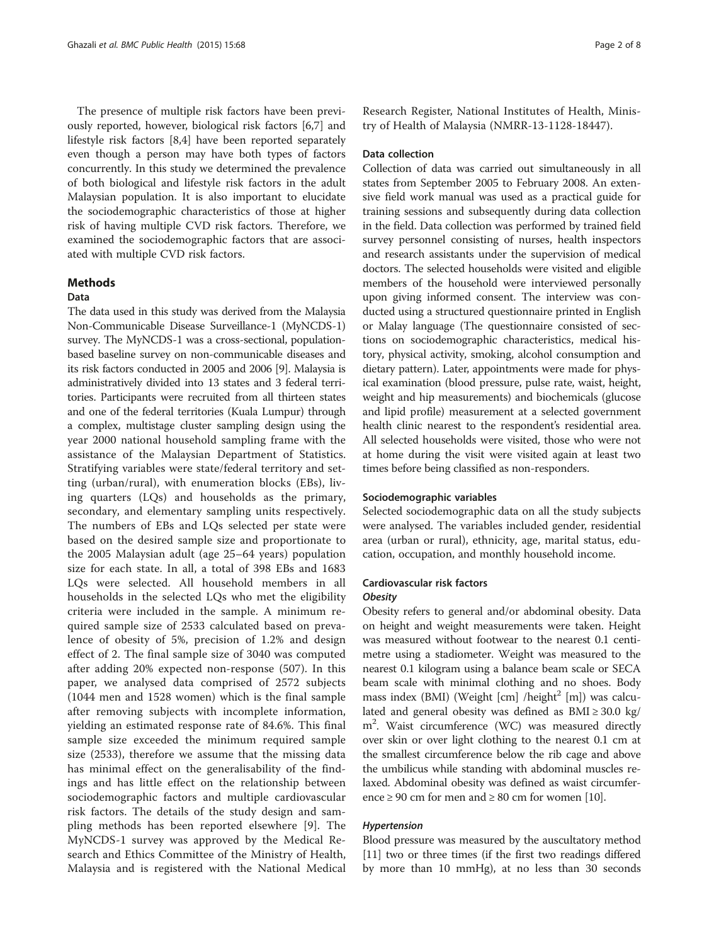The presence of multiple risk factors have been previously reported, however, biological risk factors [[6,7\]](#page-7-0) and lifestyle risk factors [\[8](#page-7-0),[4](#page-6-0)] have been reported separately even though a person may have both types of factors concurrently. In this study we determined the prevalence of both biological and lifestyle risk factors in the adult Malaysian population. It is also important to elucidate the sociodemographic characteristics of those at higher risk of having multiple CVD risk factors. Therefore, we examined the sociodemographic factors that are associated with multiple CVD risk factors.

### Methods

## Data

The data used in this study was derived from the Malaysia Non-Communicable Disease Surveillance-1 (MyNCDS-1) survey. The MyNCDS-1 was a cross-sectional, populationbased baseline survey on non-communicable diseases and its risk factors conducted in 2005 and 2006 [\[9](#page-7-0)]. Malaysia is administratively divided into 13 states and 3 federal territories. Participants were recruited from all thirteen states and one of the federal territories (Kuala Lumpur) through a complex, multistage cluster sampling design using the year 2000 national household sampling frame with the assistance of the Malaysian Department of Statistics. Stratifying variables were state/federal territory and setting (urban/rural), with enumeration blocks (EBs), living quarters (LQs) and households as the primary, secondary, and elementary sampling units respectively. The numbers of EBs and LQs selected per state were based on the desired sample size and proportionate to the 2005 Malaysian adult (age 25–64 years) population size for each state. In all, a total of 398 EBs and 1683 LQs were selected. All household members in all households in the selected LQs who met the eligibility criteria were included in the sample. A minimum required sample size of 2533 calculated based on prevalence of obesity of 5%, precision of 1.2% and design effect of 2. The final sample size of 3040 was computed after adding 20% expected non-response (507). In this paper, we analysed data comprised of 2572 subjects (1044 men and 1528 women) which is the final sample after removing subjects with incomplete information, yielding an estimated response rate of 84.6%. This final sample size exceeded the minimum required sample size (2533), therefore we assume that the missing data has minimal effect on the generalisability of the findings and has little effect on the relationship between sociodemographic factors and multiple cardiovascular risk factors. The details of the study design and sampling methods has been reported elsewhere [\[9](#page-7-0)]. The MyNCDS-1 survey was approved by the Medical Research and Ethics Committee of the Ministry of Health, Malaysia and is registered with the National Medical Research Register, National Institutes of Health, Ministry of Health of Malaysia (NMRR-13-1128-18447).

#### Data collection

Collection of data was carried out simultaneously in all states from September 2005 to February 2008. An extensive field work manual was used as a practical guide for training sessions and subsequently during data collection in the field. Data collection was performed by trained field survey personnel consisting of nurses, health inspectors and research assistants under the supervision of medical doctors. The selected households were visited and eligible members of the household were interviewed personally upon giving informed consent. The interview was conducted using a structured questionnaire printed in English or Malay language (The questionnaire consisted of sections on sociodemographic characteristics, medical history, physical activity, smoking, alcohol consumption and dietary pattern). Later, appointments were made for physical examination (blood pressure, pulse rate, waist, height, weight and hip measurements) and biochemicals (glucose and lipid profile) measurement at a selected government health clinic nearest to the respondent's residential area. All selected households were visited, those who were not at home during the visit were visited again at least two times before being classified as non-responders.

#### Sociodemographic variables

Selected sociodemographic data on all the study subjects were analysed. The variables included gender, residential area (urban or rural), ethnicity, age, marital status, education, occupation, and monthly household income.

# Cardiovascular risk factors

# **Obesity**

Obesity refers to general and/or abdominal obesity. Data on height and weight measurements were taken. Height was measured without footwear to the nearest 0.1 centimetre using a stadiometer. Weight was measured to the nearest 0.1 kilogram using a balance beam scale or SECA beam scale with minimal clothing and no shoes. Body mass index (BMI) (Weight  $[cm]$  /height<sup>2</sup>  $[m]$ ) was calculated and general obesity was defined as  $BMI \geq 30.0$  kg/ m2 . Waist circumference (WC) was measured directly over skin or over light clothing to the nearest 0.1 cm at the smallest circumference below the rib cage and above the umbilicus while standing with abdominal muscles relaxed. Abdominal obesity was defined as waist circumference  $\geq$  90 cm for men and  $\geq$  80 cm for women [\[10](#page-7-0)].

#### Hypertension

Blood pressure was measured by the auscultatory method [[11](#page-7-0)] two or three times (if the first two readings differed by more than 10 mmHg), at no less than 30 seconds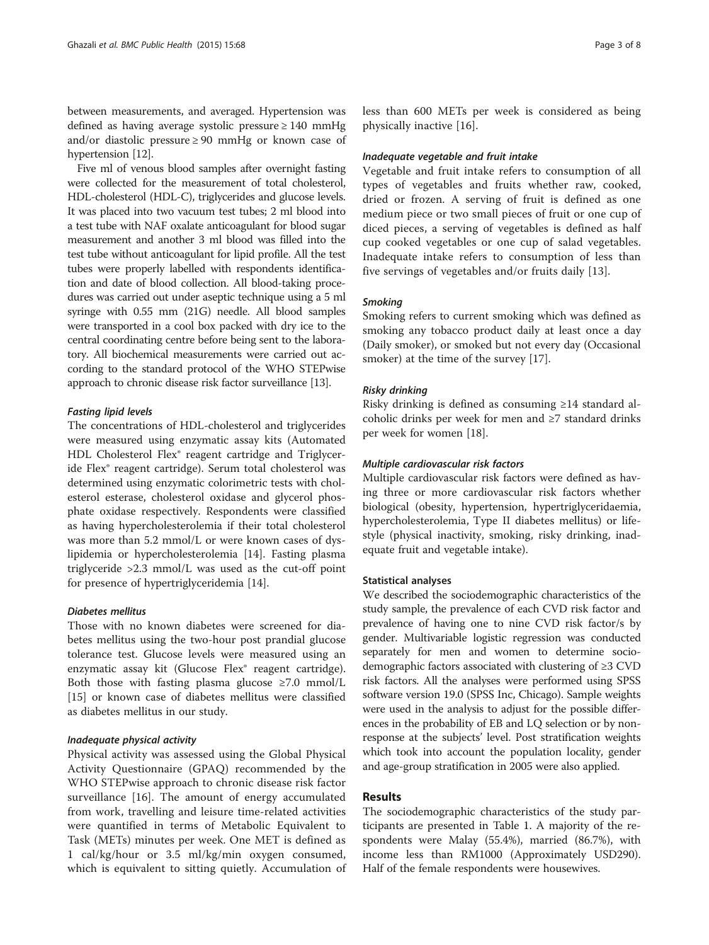between measurements, and averaged. Hypertension was defined as having average systolic pressure ≥ 140 mmHg and/or diastolic pressure ≥ 90 mmHg or known case of hypertension [\[12\]](#page-7-0).

Five ml of venous blood samples after overnight fasting were collected for the measurement of total cholesterol, HDL-cholesterol (HDL-C), triglycerides and glucose levels. It was placed into two vacuum test tubes; 2 ml blood into a test tube with NAF oxalate anticoagulant for blood sugar measurement and another 3 ml blood was filled into the test tube without anticoagulant for lipid profile. All the test tubes were properly labelled with respondents identification and date of blood collection. All blood-taking procedures was carried out under aseptic technique using a 5 ml syringe with 0.55 mm (21G) needle. All blood samples were transported in a cool box packed with dry ice to the central coordinating centre before being sent to the laboratory. All biochemical measurements were carried out according to the standard protocol of the WHO STEPwise approach to chronic disease risk factor surveillance [[13](#page-7-0)].

#### Fasting lipid levels

The concentrations of HDL-cholesterol and triglycerides were measured using enzymatic assay kits (Automated HDL Cholesterol Flex® reagent cartridge and Triglyceride Flex® reagent cartridge). Serum total cholesterol was determined using enzymatic colorimetric tests with cholesterol esterase, cholesterol oxidase and glycerol phosphate oxidase respectively. Respondents were classified as having hypercholesterolemia if their total cholesterol was more than 5.2 mmol/L or were known cases of dyslipidemia or hypercholesterolemia [[14\]](#page-7-0). Fasting plasma triglyceride >2.3 mmol/L was used as the cut-off point for presence of hypertriglyceridemia [\[14\]](#page-7-0).

#### Diabetes mellitus

Those with no known diabetes were screened for diabetes mellitus using the two-hour post prandial glucose tolerance test. Glucose levels were measured using an enzymatic assay kit (Glucose Flex® reagent cartridge). Both those with fasting plasma glucose  $\geq 7.0$  mmol/L [[15\]](#page-7-0) or known case of diabetes mellitus were classified as diabetes mellitus in our study.

#### Inadequate physical activity

Physical activity was assessed using the Global Physical Activity Questionnaire (GPAQ) recommended by the WHO STEPwise approach to chronic disease risk factor surveillance [[16](#page-7-0)]. The amount of energy accumulated from work, travelling and leisure time-related activities were quantified in terms of Metabolic Equivalent to Task (METs) minutes per week. One MET is defined as 1 cal/kg/hour or 3.5 ml/kg/min oxygen consumed, which is equivalent to sitting quietly. Accumulation of less than 600 METs per week is considered as being physically inactive [\[16](#page-7-0)].

#### Inadequate vegetable and fruit intake

Vegetable and fruit intake refers to consumption of all types of vegetables and fruits whether raw, cooked, dried or frozen. A serving of fruit is defined as one medium piece or two small pieces of fruit or one cup of diced pieces, a serving of vegetables is defined as half cup cooked vegetables or one cup of salad vegetables. Inadequate intake refers to consumption of less than five servings of vegetables and/or fruits daily [\[13](#page-7-0)].

#### **Smoking**

Smoking refers to current smoking which was defined as smoking any tobacco product daily at least once a day (Daily smoker), or smoked but not every day (Occasional smoker) at the time of the survey [[17\]](#page-7-0).

#### Risky drinking

Risky drinking is defined as consuming ≥14 standard alcoholic drinks per week for men and ≥7 standard drinks per week for women [\[18\]](#page-7-0).

#### Multiple cardiovascular risk factors

Multiple cardiovascular risk factors were defined as having three or more cardiovascular risk factors whether biological (obesity, hypertension, hypertriglyceridaemia, hypercholesterolemia, Type II diabetes mellitus) or lifestyle (physical inactivity, smoking, risky drinking, inadequate fruit and vegetable intake).

#### Statistical analyses

We described the sociodemographic characteristics of the study sample, the prevalence of each CVD risk factor and prevalence of having one to nine CVD risk factor/s by gender. Multivariable logistic regression was conducted separately for men and women to determine sociodemographic factors associated with clustering of ≥3 CVD risk factors. All the analyses were performed using SPSS software version 19.0 (SPSS Inc, Chicago). Sample weights were used in the analysis to adjust for the possible differences in the probability of EB and LQ selection or by nonresponse at the subjects' level. Post stratification weights which took into account the population locality, gender and age-group stratification in 2005 were also applied.

#### Results

The sociodemographic characteristics of the study participants are presented in Table [1.](#page-3-0) A majority of the respondents were Malay (55.4%), married (86.7%), with income less than RM1000 (Approximately USD290). Half of the female respondents were housewives.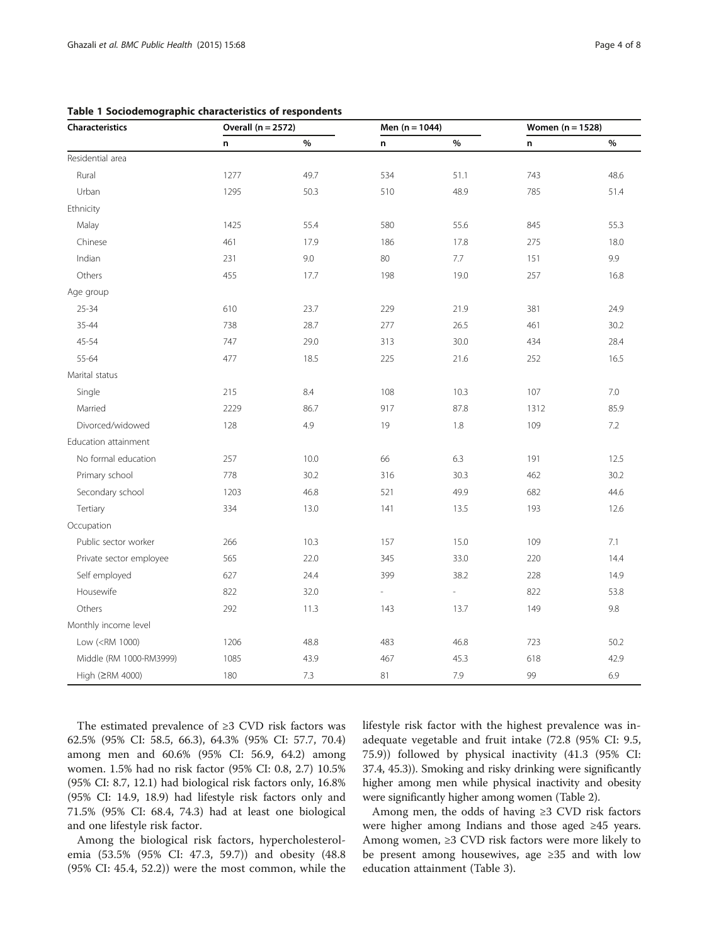| <b>Characteristics</b>                                                                                      | Overall $(n = 2572)$ |      | Men $(n = 1044)$         |                          | Women $(n = 1528)$ |         |
|-------------------------------------------------------------------------------------------------------------|----------------------|------|--------------------------|--------------------------|--------------------|---------|
|                                                                                                             | n                    | $\%$ | n                        | $\%$                     | n                  | $\%$    |
| Residential area                                                                                            |                      |      |                          |                          |                    |         |
| Rural                                                                                                       | 1277                 | 49.7 | 534                      | 51.1                     | 743                | 48.6    |
| Urban                                                                                                       | 1295                 | 50.3 | 510                      | 48.9                     | 785                | 51.4    |
| Ethnicity                                                                                                   |                      |      |                          |                          |                    |         |
| Malay                                                                                                       | 1425                 | 55.4 | 580                      | 55.6                     | 845                | 55.3    |
| Chinese                                                                                                     | 461                  | 17.9 | 186                      | 17.8                     | 275                | 18.0    |
| Indian                                                                                                      | 231                  | 9.0  | 80                       | 7.7                      | 151                | 9.9     |
| Others                                                                                                      | 455                  | 17.7 | 198                      | 19.0                     | 257                | 16.8    |
| Age group                                                                                                   |                      |      |                          |                          |                    |         |
| 25-34                                                                                                       | 610                  | 23.7 | 229                      | 21.9                     | 381                | 24.9    |
| 35-44                                                                                                       | 738                  | 28.7 | 277                      | 26.5                     | 461                | 30.2    |
| 45-54                                                                                                       | 747                  | 29.0 | 313                      | 30.0                     | 434                | 28.4    |
| 55-64                                                                                                       | 477                  | 18.5 | 225                      | 21.6                     | 252                | 16.5    |
| Marital status                                                                                              |                      |      |                          |                          |                    |         |
| Single                                                                                                      | 215                  | 8.4  | 108                      | 10.3                     | 107                | $7.0\,$ |
| Married                                                                                                     | 2229                 | 86.7 | 917                      | 87.8                     | 1312               | 85.9    |
| Divorced/widowed                                                                                            | 128                  | 4.9  | 19                       | $1.8\,$                  | 109                | 7.2     |
| Education attainment                                                                                        |                      |      |                          |                          |                    |         |
| No formal education                                                                                         | 257                  | 10.0 | 66                       | 6.3                      | 191                | 12.5    |
| Primary school                                                                                              | 778                  | 30.2 | 316                      | 30.3                     | 462                | 30.2    |
| Secondary school                                                                                            | 1203                 | 46.8 | 521                      | 49.9                     | 682                | 44.6    |
| Tertiary                                                                                                    | 334                  | 13.0 | 141                      | 13.5                     | 193                | 12.6    |
| Occupation                                                                                                  |                      |      |                          |                          |                    |         |
| Public sector worker                                                                                        | 266                  | 10.3 | 157                      | 15.0                     | 109                | 7.1     |
| Private sector employee                                                                                     | 565                  | 22.0 | 345                      | 33.0                     | 220                | 14.4    |
| Self employed                                                                                               | 627                  | 24.4 | 399                      | 38.2                     | 228                | 14.9    |
| Housewife                                                                                                   | 822                  | 32.0 | $\overline{\phantom{a}}$ | $\overline{\phantom{0}}$ | 822                | 53.8    |
| Others                                                                                                      | 292                  | 11.3 | 143                      | 13.7                     | 149                | 9.8     |
| Monthly income level                                                                                        |                      |      |                          |                          |                    |         |
| Low ( <rm 1000)<="" td=""><td>1206</td><td>48.8</td><td>483</td><td>46.8</td><td>723</td><td>50.2</td></rm> | 1206                 | 48.8 | 483                      | 46.8                     | 723                | 50.2    |
| Middle (RM 1000-RM3999)                                                                                     | 1085                 | 43.9 | 467                      | 45.3                     | 618                | 42.9    |
| High (≥RM 4000)                                                                                             | 180                  | 7.3  | 81                       | 7.9                      | 99                 | 6.9     |

<span id="page-3-0"></span>Table 1 Sociodemographic characteristics of respondents

The estimated prevalence of ≥3 CVD risk factors was 62.5% (95% CI: 58.5, 66.3), 64.3% (95% CI: 57.7, 70.4) among men and 60.6% (95% CI: 56.9, 64.2) among women. 1.5% had no risk factor (95% CI: 0.8, 2.7) 10.5% (95% CI: 8.7, 12.1) had biological risk factors only, 16.8% (95% CI: 14.9, 18.9) had lifestyle risk factors only and 71.5% (95% CI: 68.4, 74.3) had at least one biological and one lifestyle risk factor.

Among the biological risk factors, hypercholesterolemia (53.5% (95% CI: 47.3, 59.7)) and obesity (48.8 (95% CI: 45.4, 52.2)) were the most common, while the lifestyle risk factor with the highest prevalence was inadequate vegetable and fruit intake (72.8 (95% CI: 9.5, 75.9)) followed by physical inactivity (41.3 (95% CI: 37.4, 45.3)). Smoking and risky drinking were significantly higher among men while physical inactivity and obesity were significantly higher among women (Table [2](#page-4-0)).

Among men, the odds of having ≥3 CVD risk factors were higher among Indians and those aged ≥45 years. Among women, ≥3 CVD risk factors were more likely to be present among housewives, age ≥35 and with low education attainment (Table [3](#page-5-0)).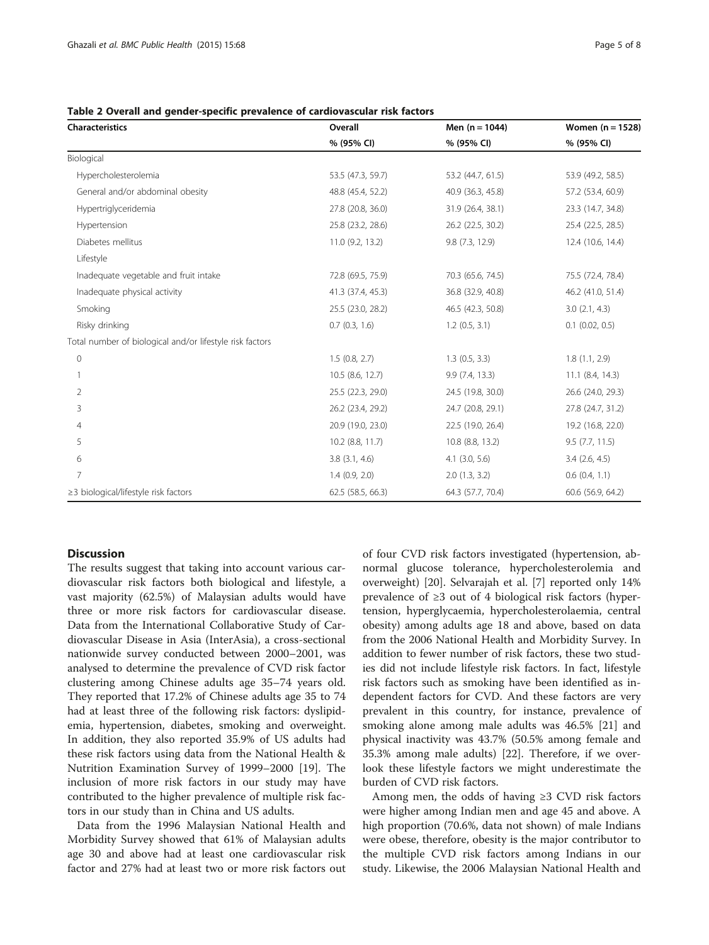| Characteristics                                          | Overall            | Men $(n = 1044)$   | Women $(n = 1528)$  |  |
|----------------------------------------------------------|--------------------|--------------------|---------------------|--|
|                                                          | % (95% CI)         | % (95% CI)         | % (95% CI)          |  |
| Biological                                               |                    |                    |                     |  |
| Hypercholesterolemia                                     | 53.5 (47.3, 59.7)  | 53.2 (44.7, 61.5)  | 53.9 (49.2, 58.5)   |  |
| General and/or abdominal obesity                         | 48.8 (45.4, 52.2)  | 40.9 (36.3, 45.8)  | 57.2 (53.4, 60.9)   |  |
| Hypertriglyceridemia                                     | 27.8 (20.8, 36.0)  | 31.9 (26.4, 38.1)  | 23.3 (14.7, 34.8)   |  |
| Hypertension                                             | 25.8 (23.2, 28.6)  | 26.2 (22.5, 30.2)  | 25.4 (22.5, 28.5)   |  |
| Diabetes mellitus                                        | 11.0 (9.2, 13.2)   | 9.8(7.3, 12.9)     | 12.4 (10.6, 14.4)   |  |
| Lifestyle                                                |                    |                    |                     |  |
| Inadequate vegetable and fruit intake                    | 72.8 (69.5, 75.9)  | 70.3 (65.6, 74.5)  | 75.5 (72.4, 78.4)   |  |
| Inadequate physical activity                             | 41.3 (37.4, 45.3)  | 36.8 (32.9, 40.8)  | 46.2 (41.0, 51.4)   |  |
| Smoking                                                  | 25.5 (23.0, 28.2)  | 46.5 (42.3, 50.8)  | 3.0(2.1, 4.3)       |  |
| Risky drinking                                           | $0.7$ $(0.3, 1.6)$ | 1.2(0.5, 3.1)      | $0.1$ $(0.02, 0.5)$ |  |
| Total number of biological and/or lifestyle risk factors |                    |                    |                     |  |
| $\overline{0}$                                           | 1.5(0.8, 2.7)      | 1.3(0.5, 3.3)      | 1.8(1.1, 2.9)       |  |
|                                                          | $10.5$ (8.6, 12.7) | 9.9(7.4, 13.3)     | 11.1 (8.4, 14.3)    |  |
| 2                                                        | 25.5 (22.3, 29.0)  | 24.5 (19.8, 30.0)  | 26.6 (24.0, 29.3)   |  |
| 3                                                        | 26.2 (23.4, 29.2)  | 24.7 (20.8, 29.1)  | 27.8 (24.7, 31.2)   |  |
| 4                                                        | 20.9 (19.0, 23.0)  | 22.5 (19.0, 26.4)  | 19.2 (16.8, 22.0)   |  |
| 5                                                        | 10.2 (8.8, 11.7)   | 10.8 (8.8, 13.2)   | 9.5(7.7, 11.5)      |  |
| 6                                                        | $3.8$ $(3.1, 4.6)$ | $4.1$ $(3.0, 5.6)$ | $3.4$ (2.6, 4.5)    |  |
| 7                                                        | 1.4(0.9, 2.0)      | 2.0(1.3, 3.2)      | 0.6(0.4, 1.1)       |  |
| $\geq$ 3 biological/lifestyle risk factors               | 62.5 (58.5, 66.3)  | 64.3 (57.7, 70.4)  | 60.6 (56.9, 64.2)   |  |

#### <span id="page-4-0"></span>Table 2 Overall and gender-specific prevalence of cardiovascular risk factors

## **Discussion**

The results suggest that taking into account various cardiovascular risk factors both biological and lifestyle, a vast majority (62.5%) of Malaysian adults would have three or more risk factors for cardiovascular disease. Data from the International Collaborative Study of Cardiovascular Disease in Asia (InterAsia), a cross-sectional nationwide survey conducted between 2000–2001, was analysed to determine the prevalence of CVD risk factor clustering among Chinese adults age 35–74 years old. They reported that 17.2% of Chinese adults age 35 to 74 had at least three of the following risk factors: dyslipidemia, hypertension, diabetes, smoking and overweight. In addition, they also reported 35.9% of US adults had these risk factors using data from the National Health & Nutrition Examination Survey of 1999–2000 [\[19](#page-7-0)]. The inclusion of more risk factors in our study may have contributed to the higher prevalence of multiple risk factors in our study than in China and US adults.

Data from the 1996 Malaysian National Health and Morbidity Survey showed that 61% of Malaysian adults age 30 and above had at least one cardiovascular risk factor and 27% had at least two or more risk factors out of four CVD risk factors investigated (hypertension, abnormal glucose tolerance, hypercholesterolemia and overweight) [\[20](#page-7-0)]. Selvarajah et al. [\[7](#page-7-0)] reported only 14% prevalence of ≥3 out of 4 biological risk factors (hypertension, hyperglycaemia, hypercholesterolaemia, central obesity) among adults age 18 and above, based on data from the 2006 National Health and Morbidity Survey. In addition to fewer number of risk factors, these two studies did not include lifestyle risk factors. In fact, lifestyle risk factors such as smoking have been identified as independent factors for CVD. And these factors are very prevalent in this country, for instance, prevalence of smoking alone among male adults was 46.5% [\[21\]](#page-7-0) and physical inactivity was 43.7% (50.5% among female and 35.3% among male adults) [[22\]](#page-7-0). Therefore, if we overlook these lifestyle factors we might underestimate the burden of CVD risk factors.

Among men, the odds of having ≥3 CVD risk factors were higher among Indian men and age 45 and above. A high proportion (70.6%, data not shown) of male Indians were obese, therefore, obesity is the major contributor to the multiple CVD risk factors among Indians in our study. Likewise, the 2006 Malaysian National Health and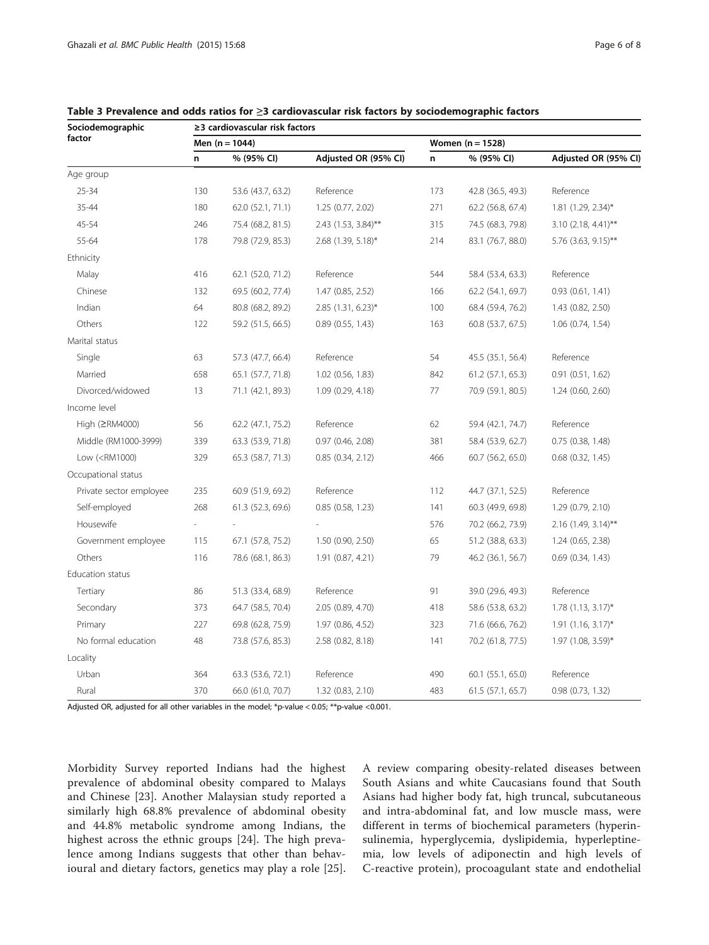| Sociodemographic                                                                                                                                                                           | ≥3 cardiovascular risk factors |                   |                       |     |                    |                                  |  |  |
|--------------------------------------------------------------------------------------------------------------------------------------------------------------------------------------------|--------------------------------|-------------------|-----------------------|-----|--------------------|----------------------------------|--|--|
| factor                                                                                                                                                                                     | Men $(n = 1044)$               |                   |                       |     | Women $(n = 1528)$ |                                  |  |  |
|                                                                                                                                                                                            | n                              | % (95% CI)        | Adjusted OR (95% CI)  | n   | % (95% CI)         | Adjusted OR (95% CI)             |  |  |
| Age group                                                                                                                                                                                  |                                |                   |                       |     |                    |                                  |  |  |
| 25-34                                                                                                                                                                                      | 130                            | 53.6 (43.7, 63.2) | Reference             | 173 | 42.8 (36.5, 49.3)  | Reference                        |  |  |
| 35-44                                                                                                                                                                                      | 180                            | 62.0 (52.1, 71.1) | 1.25 (0.77, 2.02)     | 271 | 62.2 (56.8, 67.4)  | 1.81 (1.29, 2.34)*               |  |  |
| 45-54                                                                                                                                                                                      | 246                            | 75.4 (68.2, 81.5) | 2.43 (1.53, 3.84)**   | 315 | 74.5 (68.3, 79.8)  | $3.10$ (2.18, 4.41)**            |  |  |
| 55-64                                                                                                                                                                                      | 178                            | 79.8 (72.9, 85.3) | $2.68$ (1.39, 5.18)*  | 214 | 83.1 (76.7, 88.0)  | 5.76 (3.63, 9.15)**              |  |  |
| Ethnicity                                                                                                                                                                                  |                                |                   |                       |     |                    |                                  |  |  |
| Malay                                                                                                                                                                                      | 416                            | 62.1 (52.0, 71.2) | Reference             | 544 | 58.4 (53.4, 63.3)  | Reference                        |  |  |
| Chinese                                                                                                                                                                                    | 132                            | 69.5 (60.2, 77.4) | 1.47 (0.85, 2.52)     | 166 | 62.2 (54.1, 69.7)  | 0.93(0.61, 1.41)                 |  |  |
| Indian                                                                                                                                                                                     | 64                             | 80.8 (68.2, 89.2) | $2.85$ (1.31, 6.23)*  | 100 | 68.4 (59.4, 76.2)  | 1.43 (0.82, 2.50)                |  |  |
| Others                                                                                                                                                                                     | 122                            | 59.2 (51.5, 66.5) | $0.89$ $(0.55, 1.43)$ | 163 | 60.8 (53.7, 67.5)  | $1.06$ (0.74, 1.54)              |  |  |
| Marital status                                                                                                                                                                             |                                |                   |                       |     |                    |                                  |  |  |
| Single                                                                                                                                                                                     | 63                             | 57.3 (47.7, 66.4) | Reference             | 54  | 45.5 (35.1, 56.4)  | Reference                        |  |  |
| Married                                                                                                                                                                                    | 658                            | 65.1 (57.7, 71.8) | 1.02 (0.56, 1.83)     | 842 | 61.2 (57.1, 65.3)  | $0.91$ $(0.51, 1.62)$            |  |  |
| Divorced/widowed                                                                                                                                                                           | 13                             | 71.1 (42.1, 89.3) | 1.09(0.29, 4.18)      | 77  | 70.9 (59.1, 80.5)  | 1.24(0.60, 2.60)                 |  |  |
| Income level                                                                                                                                                                               |                                |                   |                       |     |                    |                                  |  |  |
| High (≥RM4000)                                                                                                                                                                             | 56                             | 62.2 (47.1, 75.2) | Reference             | 62  | 59.4 (42.1, 74.7)  | Reference                        |  |  |
| Middle (RM1000-3999)                                                                                                                                                                       | 339                            | 63.3 (53.9, 71.8) | 0.97 (0.46, 2.08)     | 381 | 58.4 (53.9, 62.7)  | $0.75$ $(0.38, 1.48)$            |  |  |
| Low ( <rm1000)< td=""><td>329</td><td>65.3 (58.7, 71.3)</td><td>0.85(0.34, 2.12)</td><td>466</td><td>60.7 (56.2, 65.0)</td><td><math>0.68</math> <math>(0.32, 1.45)</math></td></rm1000)<> | 329                            | 65.3 (58.7, 71.3) | 0.85(0.34, 2.12)      | 466 | 60.7 (56.2, 65.0)  | $0.68$ $(0.32, 1.45)$            |  |  |
| Occupational status                                                                                                                                                                        |                                |                   |                       |     |                    |                                  |  |  |
| Private sector employee                                                                                                                                                                    | 235                            | 60.9 (51.9, 69.2) | Reference             | 112 | 44.7 (37.1, 52.5)  | Reference                        |  |  |
| Self-employed                                                                                                                                                                              | 268                            | 61.3 (52.3, 69.6) | $0.85$ $(0.58, 1.23)$ | 141 | 60.3 (49.9, 69.8)  | 1.29(0.79, 2.10)                 |  |  |
| Housewife                                                                                                                                                                                  |                                |                   |                       | 576 | 70.2 (66.2, 73.9)  | $2.16$ (1.49, 3.14)**            |  |  |
| Government employee                                                                                                                                                                        | 115                            | 67.1 (57.8, 75.2) | 1.50 (0.90, 2.50)     | 65  | 51.2 (38.8, 63.3)  | 1.24(0.65, 2.38)                 |  |  |
| Others                                                                                                                                                                                     | 116                            | 78.6 (68.1, 86.3) | 1.91 (0.87, 4.21)     | 79  | 46.2 (36.1, 56.7)  | $0.69$ $(0.34, 1.43)$            |  |  |
| Education status                                                                                                                                                                           |                                |                   |                       |     |                    |                                  |  |  |
| Tertiary                                                                                                                                                                                   | 86                             | 51.3 (33.4, 68.9) | Reference             | 91  | 39.0 (29.6, 49.3)  | Reference                        |  |  |
| Secondary                                                                                                                                                                                  | 373                            | 64.7 (58.5, 70.4) | 2.05 (0.89, 4.70)     | 418 | 58.6 (53.8, 63.2)  | $1.78$ (1.13, 3.17)*             |  |  |
| Primary                                                                                                                                                                                    | 227                            | 69.8 (62.8, 75.9) | 1.97 (0.86, 4.52)     | 323 | 71.6 (66.6, 76.2)  | $1.91$ (1.16, 3.17) <sup>*</sup> |  |  |
| No formal education                                                                                                                                                                        | 48                             | 73.8 (57.6, 85.3) | 2.58 (0.82, 8.18)     | 141 | 70.2 (61.8, 77.5)  | $1.97$ (1.08, 3.59)*             |  |  |
| Locality                                                                                                                                                                                   |                                |                   |                       |     |                    |                                  |  |  |
| Urban                                                                                                                                                                                      | 364                            | 63.3 (53.6, 72.1) | Reference             | 490 | 60.1 (55.1, 65.0)  | Reference                        |  |  |
| Rural                                                                                                                                                                                      | 370                            | 66.0 (61.0, 70.7) | 1.32 (0.83, 2.10)     | 483 | 61.5 (57.1, 65.7)  | $0.98$ $(0.73, 1.32)$            |  |  |

<span id="page-5-0"></span>Table 3 Prevalence and odds ratios for ≥3 cardiovascular risk factors by sociodemographic factors

Adjusted OR, adjusted for all other variables in the model; \*p-value < 0.05; \*\*p-value <0.001.

Morbidity Survey reported Indians had the highest prevalence of abdominal obesity compared to Malays and Chinese [\[23](#page-7-0)]. Another Malaysian study reported a similarly high 68.8% prevalence of abdominal obesity and 44.8% metabolic syndrome among Indians, the highest across the ethnic groups [\[24](#page-7-0)]. The high prevalence among Indians suggests that other than behavioural and dietary factors, genetics may play a role [\[25](#page-7-0)].

A review comparing obesity-related diseases between South Asians and white Caucasians found that South Asians had higher body fat, high truncal, subcutaneous and intra-abdominal fat, and low muscle mass, were different in terms of biochemical parameters (hyperinsulinemia, hyperglycemia, dyslipidemia, hyperleptinemia, low levels of adiponectin and high levels of C-reactive protein), procoagulant state and endothelial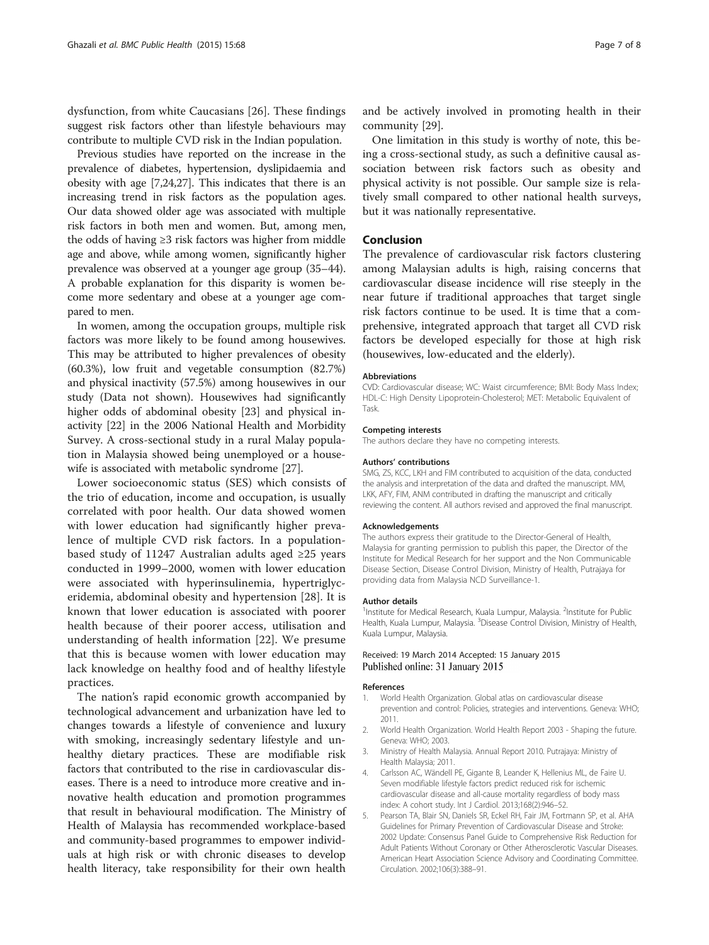<span id="page-6-0"></span>dysfunction, from white Caucasians [\[26](#page-7-0)]. These findings suggest risk factors other than lifestyle behaviours may contribute to multiple CVD risk in the Indian population.

Previous studies have reported on the increase in the prevalence of diabetes, hypertension, dyslipidaemia and obesity with age [[7,24,27\]](#page-7-0). This indicates that there is an increasing trend in risk factors as the population ages. Our data showed older age was associated with multiple risk factors in both men and women. But, among men, the odds of having ≥3 risk factors was higher from middle age and above, while among women, significantly higher prevalence was observed at a younger age group (35–44). A probable explanation for this disparity is women become more sedentary and obese at a younger age compared to men.

In women, among the occupation groups, multiple risk factors was more likely to be found among housewives. This may be attributed to higher prevalences of obesity (60.3%), low fruit and vegetable consumption (82.7%) and physical inactivity (57.5%) among housewives in our study (Data not shown). Housewives had significantly higher odds of abdominal obesity [[23\]](#page-7-0) and physical inactivity [[22\]](#page-7-0) in the 2006 National Health and Morbidity Survey. A cross-sectional study in a rural Malay population in Malaysia showed being unemployed or a housewife is associated with metabolic syndrome [[27\]](#page-7-0).

Lower socioeconomic status (SES) which consists of the trio of education, income and occupation, is usually correlated with poor health. Our data showed women with lower education had significantly higher prevalence of multiple CVD risk factors. In a populationbased study of 11247 Australian adults aged ≥25 years conducted in 1999–2000, women with lower education were associated with hyperinsulinemia, hypertriglyceridemia, abdominal obesity and hypertension [[28\]](#page-7-0). It is known that lower education is associated with poorer health because of their poorer access, utilisation and understanding of health information [[22\]](#page-7-0). We presume that this is because women with lower education may lack knowledge on healthy food and of healthy lifestyle practices.

The nation's rapid economic growth accompanied by technological advancement and urbanization have led to changes towards a lifestyle of convenience and luxury with smoking, increasingly sedentary lifestyle and unhealthy dietary practices. These are modifiable risk factors that contributed to the rise in cardiovascular diseases. There is a need to introduce more creative and innovative health education and promotion programmes that result in behavioural modification. The Ministry of Health of Malaysia has recommended workplace-based and community-based programmes to empower individuals at high risk or with chronic diseases to develop health literacy, take responsibility for their own health

and be actively involved in promoting health in their community [[29](#page-7-0)].

One limitation in this study is worthy of note, this being a cross-sectional study, as such a definitive causal association between risk factors such as obesity and physical activity is not possible. Our sample size is relatively small compared to other national health surveys, but it was nationally representative.

### Conclusion

The prevalence of cardiovascular risk factors clustering among Malaysian adults is high, raising concerns that cardiovascular disease incidence will rise steeply in the near future if traditional approaches that target single risk factors continue to be used. It is time that a comprehensive, integrated approach that target all CVD risk factors be developed especially for those at high risk (housewives, low-educated and the elderly).

#### Abbreviations

CVD: Cardiovascular disease; WC: Waist circumference; BMI: Body Mass Index; HDL-C: High Density Lipoprotein-Cholesterol; MET: Metabolic Equivalent of Task.

#### Competing interests

The authors declare they have no competing interests.

#### Authors' contributions

SMG, ZS, KCC, LKH and FIM contributed to acquisition of the data, conducted the analysis and interpretation of the data and drafted the manuscript. MM, LKK, AFY, FIM, ANM contributed in drafting the manuscript and critically reviewing the content. All authors revised and approved the final manuscript.

#### Acknowledgements

The authors express their gratitude to the Director-General of Health, Malaysia for granting permission to publish this paper, the Director of the Institute for Medical Research for her support and the Non Communicable Disease Section, Disease Control Division, Ministry of Health, Putrajaya for providing data from Malaysia NCD Surveillance-1.

#### Author details

<sup>1</sup> Institute for Medical Research, Kuala Lumpur, Malaysia. <sup>2</sup> Institute for Public Health, Kuala Lumpur, Malaysia. <sup>3</sup>Disease Control Division, Ministry of Health, Kuala Lumpur, Malaysia.

#### Received: 19 March 2014 Accepted: 15 January 2015 Published online: 31 January 2015

#### References

- World Health Organization. Global atlas on cardiovascular disease prevention and control: Policies, strategies and interventions. Geneva: WHO; 2011.
- 2. World Health Organization. World Health Report 2003 Shaping the future. Geneva: WHO; 2003.
- 3. Ministry of Health Malaysia. Annual Report 2010. Putrajaya: Ministry of Health Malaysia; 2011.
- 4. Carlsson AC, Wändell PE, Gigante B, Leander K, Hellenius ML, de Faire U. Seven modifiable lifestyle factors predict reduced risk for ischemic cardiovascular disease and all-cause mortality regardless of body mass index: A cohort study. Int J Cardiol. 2013;168(2):946–52.
- 5. Pearson TA, Blair SN, Daniels SR, Eckel RH, Fair JM, Fortmann SP, et al. AHA Guidelines for Primary Prevention of Cardiovascular Disease and Stroke: 2002 Update: Consensus Panel Guide to Comprehensive Risk Reduction for Adult Patients Without Coronary or Other Atherosclerotic Vascular Diseases. American Heart Association Science Advisory and Coordinating Committee. Circulation. 2002;106(3):388–91.